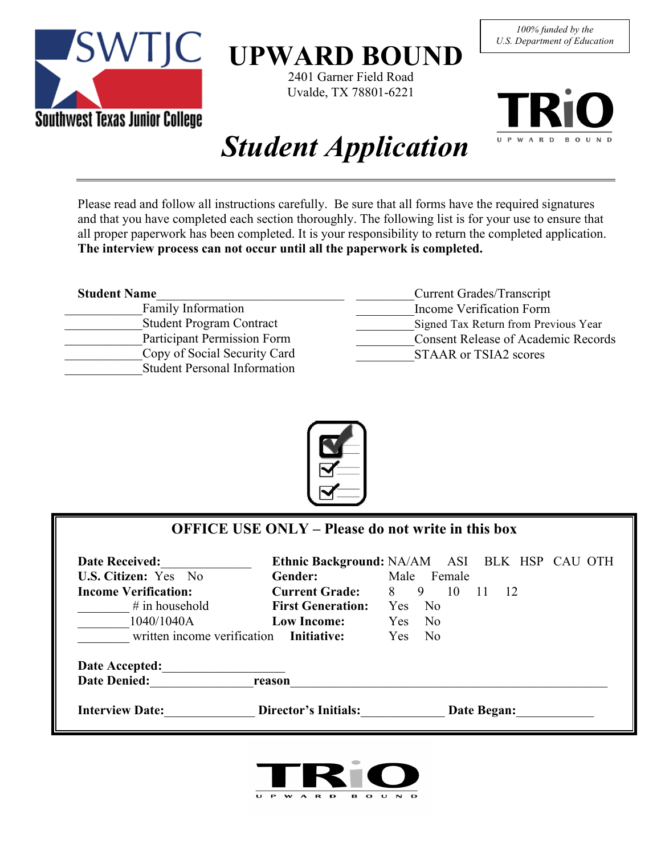

# **UPWARD BOUND**

2401 Garner Field Road Uvalde, TX 78801-6221





# *Student Application*

Please read and follow all instructions carefully. Be sure that all forms have the required signatures and that you have completed each section thoroughly. The following list is for your use to ensure that all proper paperwork has been completed. It is your responsibility to return the completed application. **The interview process can not occur until all the paperwork is completed.**

| <b>Student Name</b>                 | Current Grades/Transcript                  |
|-------------------------------------|--------------------------------------------|
| <b>Family Information</b>           | Income Verification Form                   |
| <b>Student Program Contract</b>     | Signed Tax Return from Previous Year       |
| Participant Permission Form         | <b>Consent Release of Academic Records</b> |
| Copy of Social Security Card        | <b>STAAR or TSIA2 scores</b>               |
| <b>Student Personal Information</b> |                                            |
|                                     |                                            |



|                                         |                          | <b>OFFICE USE ONLY – Please do not write in this box</b> |
|-----------------------------------------|--------------------------|----------------------------------------------------------|
| <b>Date Received:</b>                   |                          | Ethnic Background: NA/AM ASI BLK HSP CAU OTH             |
| U.S. Citizen: Yes No                    | Gender:                  | Male Female                                              |
| <b>Income Verification:</b>             | <b>Current Grade:</b>    | 8<br>9<br>10<br>$\overline{12}$<br>$\overline{11}$       |
| $#$ in household                        | <b>First Generation:</b> | Yes<br>N <sub>0</sub>                                    |
| 1040/1040A                              | Low Income:              | - No<br>Yes                                              |
| written income verification Initiative: |                          | <b>Yes</b><br>N <sub>0</sub>                             |
| Date Accepted:<br><b>Date Denied:</b>   | reason                   |                                                          |
| <b>Interview Date:</b>                  | Director's Initials:     | Date Began:                                              |

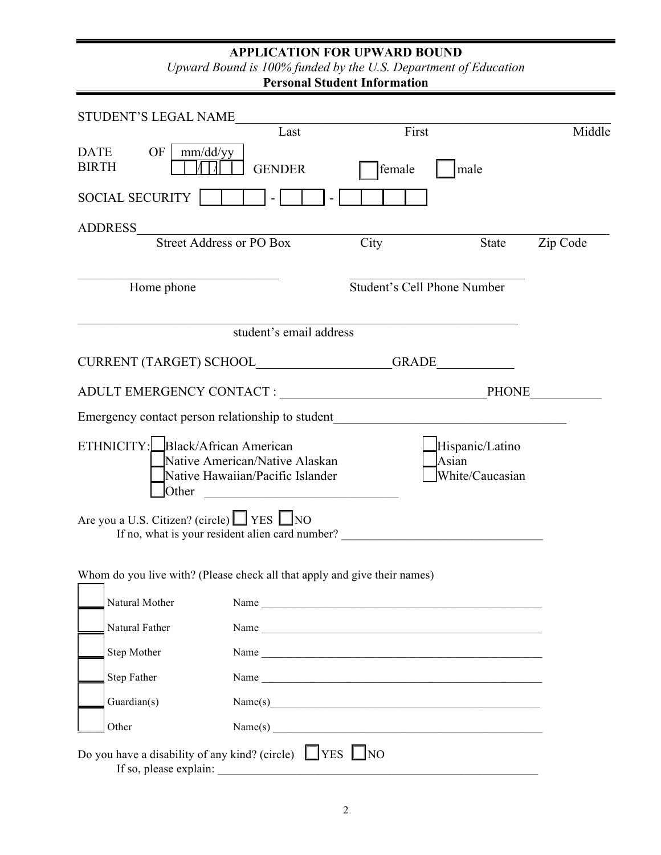#### **APPLICATION FOR UPWARD BOUND**

*Upward Bound is 100% funded by the U.S. Department of Education* 

**Personal Student Information** 

| STUDENT'S LEGAL NAME                                  |                        |                                                                                                                                                                                                                                |               |                                    |                                    |          |
|-------------------------------------------------------|------------------------|--------------------------------------------------------------------------------------------------------------------------------------------------------------------------------------------------------------------------------|---------------|------------------------------------|------------------------------------|----------|
|                                                       |                        | Last                                                                                                                                                                                                                           |               | First                              |                                    | Middle   |
| OF<br><b>DATE</b><br><b>BIRTH</b>                     | mm/dd/yy               | <b>GENDER</b>                                                                                                                                                                                                                  | <b>female</b> |                                    | male                               |          |
| <b>SOCIAL SECURITY</b>                                |                        |                                                                                                                                                                                                                                |               |                                    |                                    |          |
| ADDRESS                                               |                        |                                                                                                                                                                                                                                |               |                                    |                                    |          |
|                                                       |                        | Street Address or PO Box                                                                                                                                                                                                       | City          |                                    | State                              | Zip Code |
|                                                       | Home phone             |                                                                                                                                                                                                                                |               | <b>Student's Cell Phone Number</b> |                                    |          |
|                                                       |                        | student's email address                                                                                                                                                                                                        |               |                                    |                                    |          |
|                                                       |                        | CURRENT (TARGET) SCHOOL GRADE                                                                                                                                                                                                  |               |                                    |                                    |          |
|                                                       |                        |                                                                                                                                                                                                                                |               |                                    |                                    |          |
|                                                       |                        | Emergency contact person relationship to student________________________________                                                                                                                                               |               |                                    |                                    |          |
| ETHNICITY: Black/African American                     | Other                  | Native American/Native Alaskan<br>Native Hawaiian/Pacific Islander<br><u> 1980 - Jan Stein Stein, fransk politik (f. 1980)</u>                                                                                                 |               | Asian                              | Hispanic/Latino<br>White/Caucasian |          |
| Are you a U.S. Citizen? (circle) $\Box$ YES $\Box$ NO |                        | If no, what is your resident alien card number?                                                                                                                                                                                |               |                                    |                                    |          |
|                                                       |                        | Whom do you live with? (Please check all that apply and give their names)                                                                                                                                                      |               |                                    |                                    |          |
| Natural Mother                                        |                        |                                                                                                                                                                                                                                |               |                                    |                                    |          |
| Natural Father                                        |                        | Name experience and the second services of the services of the services of the services of the services of the services of the services of the services of the services of the services of the services of the services of the |               |                                    |                                    |          |
| Step Mother                                           |                        |                                                                                                                                                                                                                                |               |                                    |                                    |          |
| <b>Step Father</b>                                    |                        |                                                                                                                                                                                                                                |               |                                    |                                    |          |
| Guardian(s)                                           |                        | Name(s)                                                                                                                                                                                                                        |               |                                    |                                    |          |
| Other                                                 |                        | Name(s)                                                                                                                                                                                                                        |               |                                    |                                    |          |
|                                                       | If so, please explain: | Do you have a disability of any kind? (circle) $\Box$ YES $\Box$ NO                                                                                                                                                            |               |                                    |                                    |          |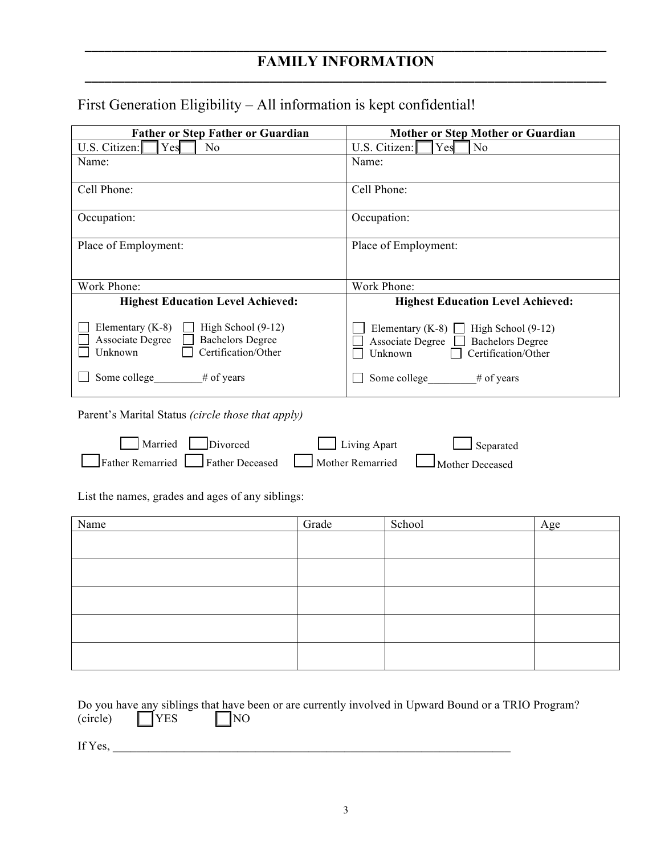#### **\_\_\_\_\_\_\_\_\_\_\_\_\_\_\_\_\_\_\_\_\_\_\_\_\_\_\_\_\_\_\_\_\_\_\_\_\_\_\_\_\_\_\_\_\_\_\_\_\_\_\_\_\_\_\_\_\_\_\_\_\_\_\_\_\_\_\_\_\_\_\_\_\_\_\_\_\_\_\_ FAMILY INFORMATION \_\_\_\_\_\_\_\_\_\_\_\_\_\_\_\_\_\_\_\_\_\_\_\_\_\_\_\_\_\_\_\_\_\_\_\_\_\_\_\_\_\_\_\_\_\_\_\_\_\_\_\_\_\_\_\_\_\_\_\_\_\_\_\_\_\_\_\_\_\_\_\_\_\_\_\_\_\_\_**

## First Generation Eligibility – All information is kept confidential!

| <b>Father or Step Father or Guardian</b>                                                                                       | Mother or Step Mother or Guardian                                                                                                     |
|--------------------------------------------------------------------------------------------------------------------------------|---------------------------------------------------------------------------------------------------------------------------------------|
| U.S. Citizen: $\lceil$<br>Yes<br>No                                                                                            | U.S. Citizen:<br>Yes<br>N <sub>0</sub>                                                                                                |
| Name:                                                                                                                          | Name:                                                                                                                                 |
| Cell Phone:                                                                                                                    | Cell Phone:                                                                                                                           |
| Occupation:                                                                                                                    | Occupation:                                                                                                                           |
| Place of Employment:                                                                                                           | Place of Employment:                                                                                                                  |
| Work Phone:                                                                                                                    | Work Phone:                                                                                                                           |
| <b>Highest Education Level Achieved:</b>                                                                                       | <b>Highest Education Level Achieved:</b>                                                                                              |
| Elementary (K-8)<br>High School (9-12)<br><b>Associate Degree</b><br><b>Bachelors Degree</b><br>Certification/Other<br>Unknown | Elementary (K-8) $\Box$<br>High School (9-12)<br><b>Associate Degree</b><br><b>Bachelors Degree</b><br>Certification/Other<br>Unknown |
| Some college<br>$#$ of years                                                                                                   | Some college<br>$#$ of years                                                                                                          |

Parent's Marital Status *(circle those that apply)*

| Married Divorced                                  | Living Apart | $\Box$ Separated |
|---------------------------------------------------|--------------|------------------|
| Father Remarried Father Deceased Mother Remarried |              | Mother Deceased  |

List the names, grades and ages of any siblings:

| Name | Grade | School | Age |
|------|-------|--------|-----|
|      |       |        |     |
|      |       |        |     |
|      |       |        |     |
|      |       |        |     |
|      |       |        |     |

|         |                       | Do you have any siblings that have been or are currently involved in Upward Bound or a TRIO Program? |  |  |  |
|---------|-----------------------|------------------------------------------------------------------------------------------------------|--|--|--|
|         | $(circle)$ $\Box$ YES | $ $  NO                                                                                              |  |  |  |
|         |                       |                                                                                                      |  |  |  |
|         |                       |                                                                                                      |  |  |  |
| If Yes. |                       |                                                                                                      |  |  |  |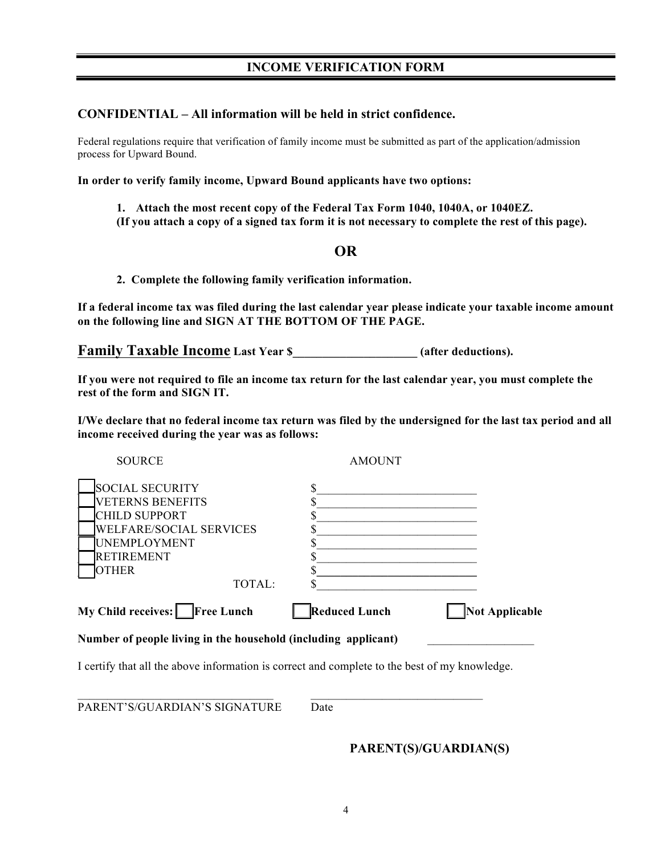#### **CONFIDENTIAL – All information will be held in strict confidence.**

Federal regulations require that verification of family income must be submitted as part of the application/admission process for Upward Bound.

**In order to verify family income, Upward Bound applicants have two options:**

- **1. Attach the most recent copy of the Federal Tax Form 1040, 1040A, or 1040EZ.**
- **(If you attach a copy of a signed tax form it is not necessary to complete the rest of this page).**

#### **OR**

**2. Complete the following family verification information.**

**If a federal income tax was filed during the last calendar year please indicate your taxable income amount on the following line and SIGN AT THE BOTTOM OF THE PAGE.**

**Family Taxable Income** Last Year \$\_\_\_\_\_\_\_\_\_\_\_\_\_\_\_\_\_\_\_\_ (after deductions).

**If you were not required to file an income tax return for the last calendar year, you must complete the rest of the form and SIGN IT.**

**I/We declare that no federal income tax return was filed by the undersigned for the last tax period and all income received during the year was as follows:**

| My Child receives: Free Lunch | <b>Reduced Lunch</b> | <b>Not Applicable</b> |
|-------------------------------|----------------------|-----------------------|
| TOTAL:                        |                      |                       |
| <b>OTHER</b>                  |                      |                       |
| RETIREMENT                    |                      |                       |
| UNEMPLOYMENT                  |                      |                       |
| WELFARE/SOCIAL SERVICES       |                      |                       |
| CHILD SUPPORT                 |                      |                       |
| <b>VETERNS BENEFITS</b>       |                      |                       |
| SOCIAL SECURITY               |                      |                       |
| <b>SOURCE</b>                 | <b>AMOUNT</b>        |                       |

Number of people living in the household (including applicant)

I certify that all the above information is correct and complete to the best of my knowledge.

 $\mathcal{L}_\text{max} = \mathcal{L}_\text{max} = \mathcal{L}_\text{max} = \mathcal{L}_\text{max} = \mathcal{L}_\text{max} = \mathcal{L}_\text{max} = \mathcal{L}_\text{max} = \mathcal{L}_\text{max} = \mathcal{L}_\text{max} = \mathcal{L}_\text{max} = \mathcal{L}_\text{max} = \mathcal{L}_\text{max} = \mathcal{L}_\text{max} = \mathcal{L}_\text{max} = \mathcal{L}_\text{max} = \mathcal{L}_\text{max} = \mathcal{L}_\text{max} = \mathcal{L}_\text{max} = \mathcal{$ 

PARENT'S/GUARDIAN'S SIGNATURE Date

**PARENT(S)/GUARDIAN(S)**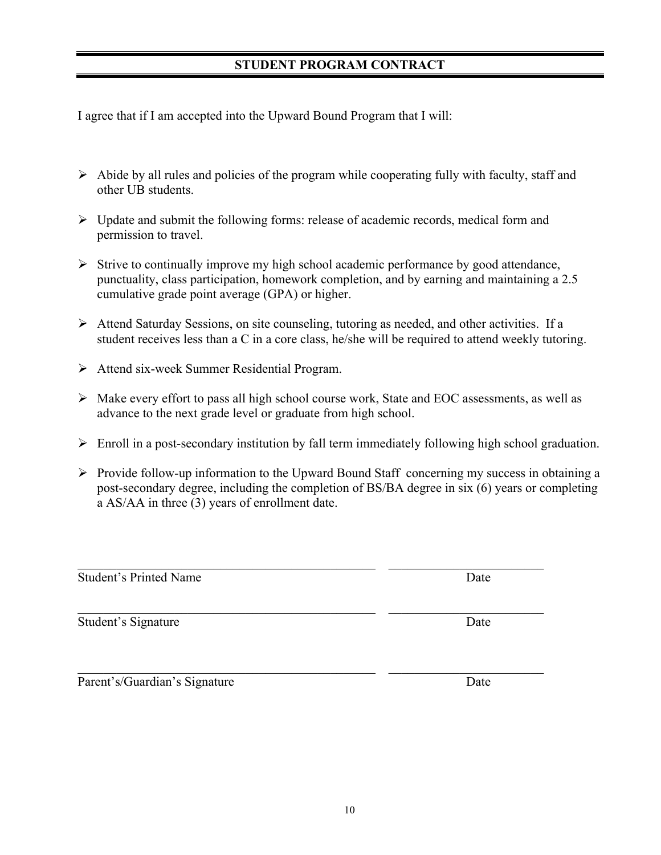#### **STUDENT PROGRAM CONTRACT**

I agree that if I am accepted into the Upward Bound Program that I will:

- $\triangleright$  Abide by all rules and policies of the program while cooperating fully with faculty, staff and other UB students.
- $\triangleright$  Update and submit the following forms: release of academic records, medical form and permission to travel.
- $\triangleright$  Strive to continually improve my high school academic performance by good attendance, punctuality, class participation, homework completion, and by earning and maintaining a 2.5 cumulative grade point average (GPA) or higher.
- Attend Saturday Sessions, on site counseling, tutoring as needed, and other activities. If a student receives less than a C in a core class, he/she will be required to attend weekly tutoring.
- Attend six-week Summer Residential Program.
- $\triangleright$  Make every effort to pass all high school course work, State and EOC assessments, as well as advance to the next grade level or graduate from high school.
- $\triangleright$  Enroll in a post-secondary institution by fall term immediately following high school graduation.
- $\triangleright$  Provide follow-up information to the Upward Bound Staff concerning my success in obtaining a post-secondary degree, including the completion of BS/BA degree in six (6) years or completing a AS/AA in three (3) years of enrollment date.

 $\mathcal{L}_\text{max} = \mathcal{L}_\text{max} = \mathcal{L}_\text{max} = \mathcal{L}_\text{max} = \mathcal{L}_\text{max} = \mathcal{L}_\text{max} = \mathcal{L}_\text{max} = \mathcal{L}_\text{max} = \mathcal{L}_\text{max} = \mathcal{L}_\text{max} = \mathcal{L}_\text{max} = \mathcal{L}_\text{max} = \mathcal{L}_\text{max} = \mathcal{L}_\text{max} = \mathcal{L}_\text{max} = \mathcal{L}_\text{max} = \mathcal{L}_\text{max} = \mathcal{L}_\text{max} = \mathcal{$ 

 $\mathcal{L}_\text{max}$  , and the contribution of the contribution of the contribution of the contribution of the contribution of the contribution of the contribution of the contribution of the contribution of the contribution of t

 $\mathcal{L}_\text{max} = \mathcal{L}_\text{max} = \mathcal{L}_\text{max} = \mathcal{L}_\text{max} = \mathcal{L}_\text{max} = \mathcal{L}_\text{max} = \mathcal{L}_\text{max} = \mathcal{L}_\text{max} = \mathcal{L}_\text{max} = \mathcal{L}_\text{max} = \mathcal{L}_\text{max} = \mathcal{L}_\text{max} = \mathcal{L}_\text{max} = \mathcal{L}_\text{max} = \mathcal{L}_\text{max} = \mathcal{L}_\text{max} = \mathcal{L}_\text{max} = \mathcal{L}_\text{max} = \mathcal{$ 

Student's Printed Name Date

Student's Signature Date

Parent's/Guardian's Signature Date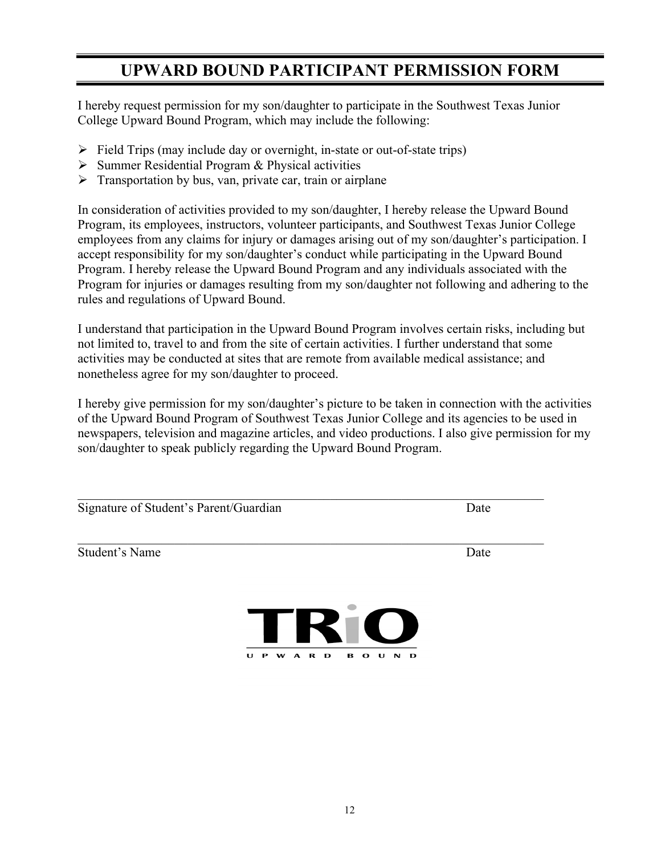## **UPWARD BOUND PARTICIPANT PERMISSION FORM**

I hereby request permission for my son/daughter to participate in the Southwest Texas Junior College Upward Bound Program, which may include the following:

- $\triangleright$  Field Trips (may include day or overnight, in-state or out-of-state trips)
- $\triangleright$  Summer Residential Program & Physical activities
- $\triangleright$  Transportation by bus, van, private car, train or airplane

In consideration of activities provided to my son/daughter, I hereby release the Upward Bound Program, its employees, instructors, volunteer participants, and Southwest Texas Junior College employees from any claims for injury or damages arising out of my son/daughter's participation. I accept responsibility for my son/daughter's conduct while participating in the Upward Bound Program. I hereby release the Upward Bound Program and any individuals associated with the Program for injuries or damages resulting from my son/daughter not following and adhering to the rules and regulations of Upward Bound.

I understand that participation in the Upward Bound Program involves certain risks, including but not limited to, travel to and from the site of certain activities. I further understand that some activities may be conducted at sites that are remote from available medical assistance; and nonetheless agree for my son/daughter to proceed.

I hereby give permission for my son/daughter's picture to be taken in connection with the activities of the Upward Bound Program of Southwest Texas Junior College and its agencies to be used in newspapers, television and magazine articles, and video productions. I also give permission for my son/daughter to speak publicly regarding the Upward Bound Program.

| Signature of Student's Parent/Guardian | Date                       |
|----------------------------------------|----------------------------|
| <b>Student's Name</b>                  | Date                       |
| TRIO                                   |                            |
| U<br>P<br><b>W</b><br>A R D<br>в       | $\mathbf o$<br>D<br>N<br>U |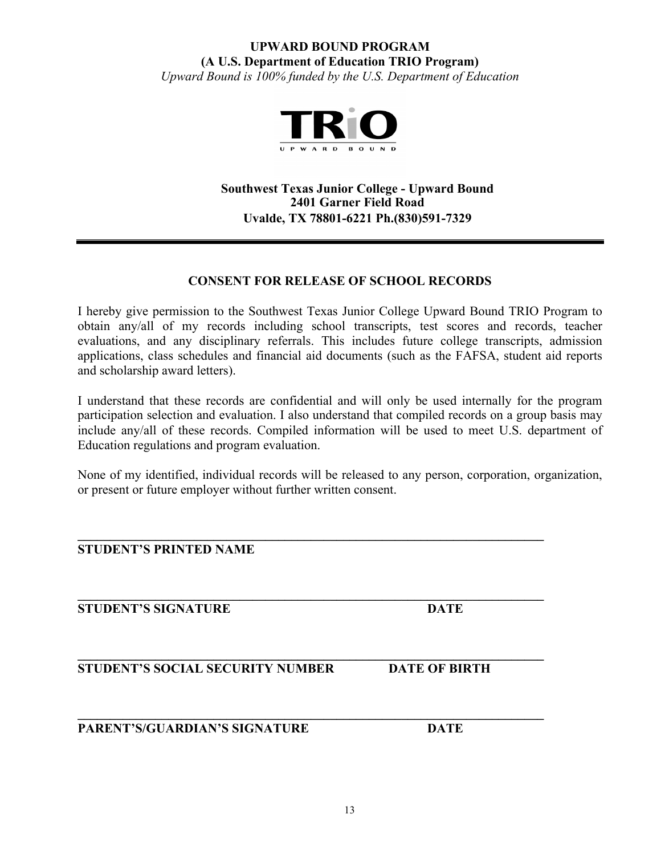#### **UPWARD BOUND PROGRAM (A U.S. Department of Education TRIO Program)**

*Upward Bound is 100% funded by the U.S. Department of Education* 



**Southwest Texas Junior College - Upward Bound 2401 Garner Field Road Uvalde, TX 78801-6221 Ph.(830)591-7329**

#### **CONSENT FOR RELEASE OF SCHOOL RECORDS**

I hereby give permission to the Southwest Texas Junior College Upward Bound TRIO Program to obtain any/all of my records including school transcripts, test scores and records, teacher evaluations, and any disciplinary referrals. This includes future college transcripts, admission applications, class schedules and financial aid documents (such as the FAFSA, student aid reports and scholarship award letters).

I understand that these records are confidential and will only be used internally for the program participation selection and evaluation. I also understand that compiled records on a group basis may include any/all of these records. Compiled information will be used to meet U.S. department of Education regulations and program evaluation.

None of my identified, individual records will be released to any person, corporation, organization, or present or future employer without further written consent.

| <b>STUDENT'S PRINTED NAME</b>           |                      |
|-----------------------------------------|----------------------|
| <b>STUDENT'S SIGNATURE</b>              | <b>DATE</b>          |
| <b>STUDENT'S SOCIAL SECURITY NUMBER</b> | <b>DATE OF BIRTH</b> |
| PARENT'S/GUARDIAN'S SIGNATURE           | <b>DATE</b>          |